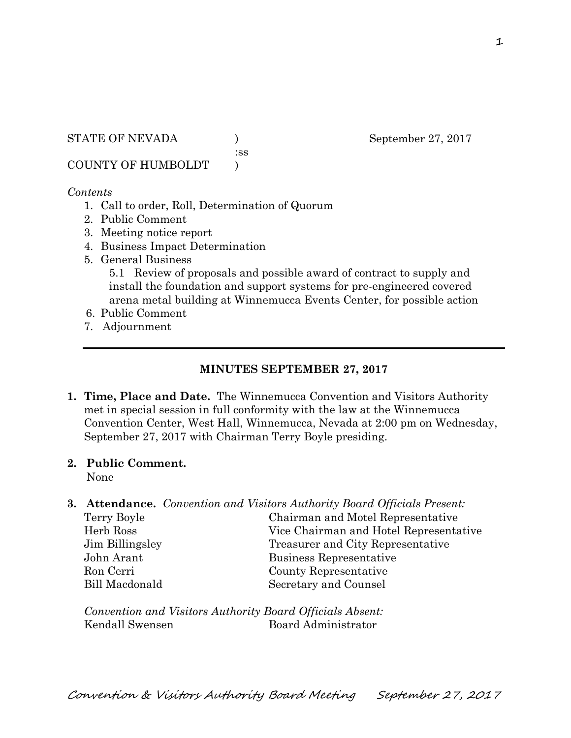STATE OF NEVADA ) September 27, 2017

:ss

COUNTY OF HUMBOLDT )

#### *Contents*

- 1. Call to order, Roll, Determination of Quorum
- 2. Public Comment
- 3. Meeting notice report
- 4. Business Impact Determination
- 5. General Business

5.1 Review of proposals and possible award of contract to supply and install the foundation and support systems for pre-engineered covered arena metal building at Winnemucca Events Center, for possible action

- 6. Public Comment
- 7. Adjournment

### **MINUTES SEPTEMBER 27, 2017**

- **1. Time, Place and Date.** The Winnemucca Convention and Visitors Authority met in special session in full conformity with the law at the Winnemucca Convention Center, West Hall, Winnemucca, Nevada at 2:00 pm on Wednesday, September 27, 2017 with Chairman Terry Boyle presiding.
- **2. Public Comment.**

None

**3. Attendance.** *Convention and Visitors Authority Board Officials Present:* 

| Chairman and Motel Representative      |
|----------------------------------------|
| Vice Chairman and Hotel Representative |
| Treasurer and City Representative      |
| Business Representative                |
| County Representative                  |
| Secretary and Counsel                  |
|                                        |

*Convention and Visitors Authority Board Officials Absent:*  Kendall Swensen Board Administrator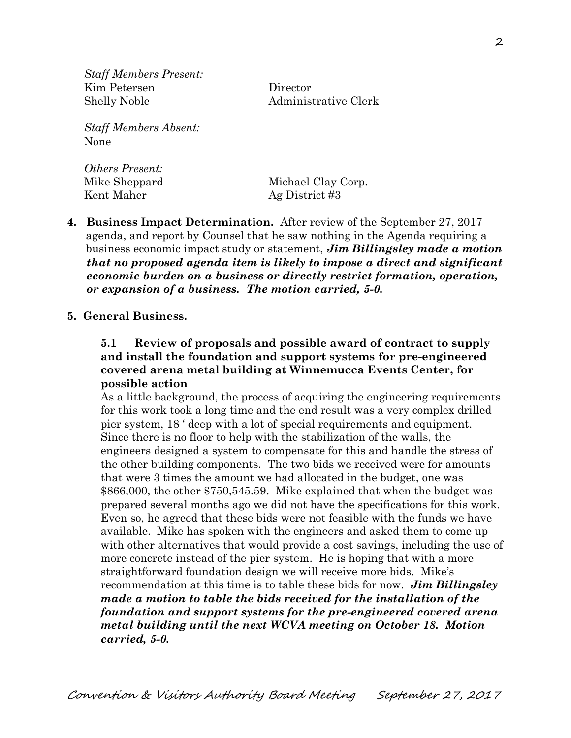*Staff Members Present:*  Kim Petersen Director Shelly Noble Administrative Clerk

*Staff Members Absent:*  None

*Others Present:*  Mike Sheppard Michael Clay Corp. Kent Maher Ag District #3

- **4. Business Impact Determination.** After review of the September 27, 2017 agenda, and report by Counsel that he saw nothing in the Agenda requiring a business economic impact study or statement, *Jim Billingsley made a motion that no proposed agenda item is likely to impose a direct and significant economic burden on a business or directly restrict formation, operation, or expansion of a business. The motion carried, 5-0.*
- **5. General Business.**

## **5.1 Review of proposals and possible award of contract to supply and install the foundation and support systems for pre-engineered covered arena metal building at Winnemucca Events Center, for possible action**

As a little background, the process of acquiring the engineering requirements for this work took a long time and the end result was a very complex drilled pier system, 18 ' deep with a lot of special requirements and equipment. Since there is no floor to help with the stabilization of the walls, the engineers designed a system to compensate for this and handle the stress of the other building components. The two bids we received were for amounts that were 3 times the amount we had allocated in the budget, one was \$866,000, the other \$750,545.59. Mike explained that when the budget was prepared several months ago we did not have the specifications for this work. Even so, he agreed that these bids were not feasible with the funds we have available. Mike has spoken with the engineers and asked them to come up with other alternatives that would provide a cost savings, including the use of more concrete instead of the pier system. He is hoping that with a more straightforward foundation design we will receive more bids. Mike's recommendation at this time is to table these bids for now. *Jim Billingsley made a motion to table the bids received for the installation of the foundation and support systems for the pre-engineered covered arena metal building until the next WCVA meeting on October 18. Motion carried, 5-0.*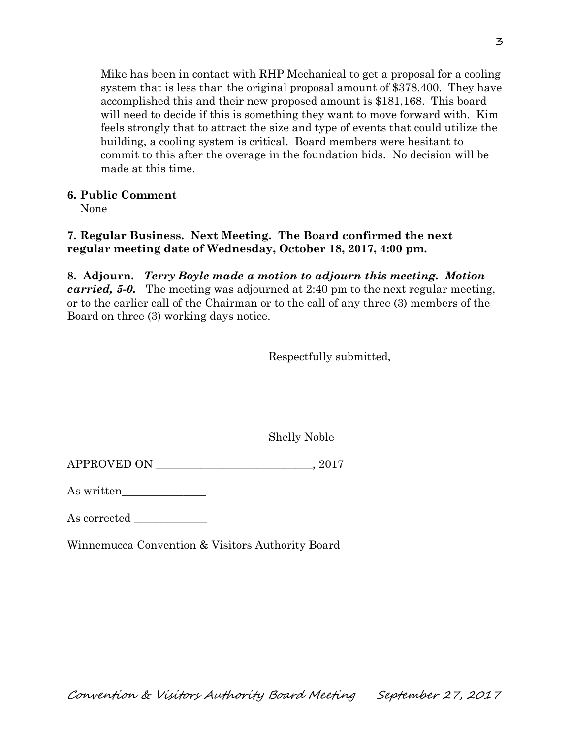Mike has been in contact with RHP Mechanical to get a proposal for a cooling system that is less than the original proposal amount of \$378,400. They have accomplished this and their new proposed amount is \$181,168. This board will need to decide if this is something they want to move forward with. Kim feels strongly that to attract the size and type of events that could utilize the building, a cooling system is critical. Board members were hesitant to commit to this after the overage in the foundation bids. No decision will be made at this time.

## **6. Public Comment**

None

# **7. Regular Business. Next Meeting. The Board confirmed the next regular meeting date of Wednesday, October 18, 2017, 4:00 pm.**

**8. Adjourn.** *Terry Boyle made a motion to adjourn this meeting. Motion carried, 5-0.* The meeting was adjourned at 2:40 pm to the next regular meeting, or to the earlier call of the Chairman or to the call of any three (3) members of the Board on three (3) working days notice.

Respectfully submitted,

Shelly Noble

APPROVED ON \_\_\_\_\_\_\_\_\_\_\_\_\_\_\_\_\_\_\_\_\_\_\_\_\_\_\_\_, 2017

As written\_\_\_\_\_\_\_\_\_\_\_\_\_\_\_

As corrected \_\_\_\_\_\_\_\_\_\_\_\_\_

Winnemucca Convention & Visitors Authority Board